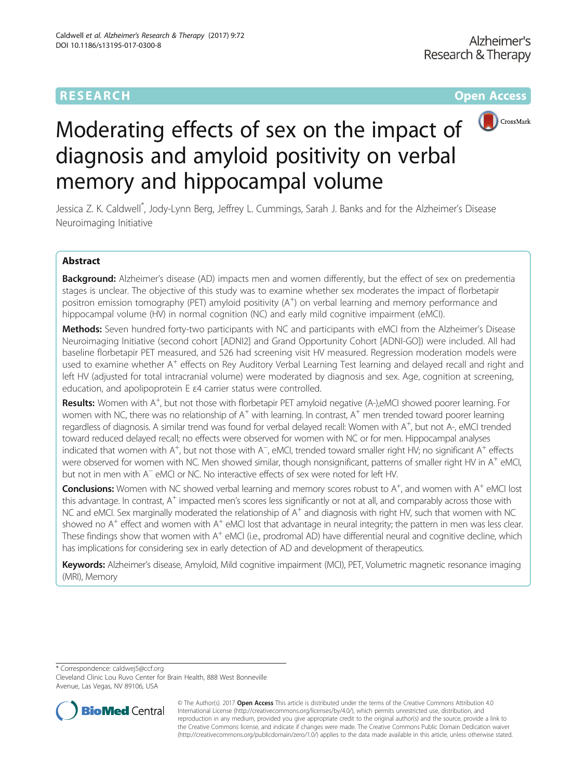# **RESEARCH CHEAR CHEAR CHEAR CHEAR CHEAR CHEAR CHEAR CHEAR CHEAR CHEAR CHEAR CHEAR CHEAR CHEAR CHEAR CHEAR CHEAR**



# Moderating effects of sex on the impact of diagnosis and amyloid positivity on verbal memory and hippocampal volume

Jessica Z. K. Caldwell\* , Jody-Lynn Berg, Jeffrey L. Cummings, Sarah J. Banks and for the Alzheimer's Disease Neuroimaging Initiative

# Abstract

Background: Alzheimer's disease (AD) impacts men and women differently, but the effect of sex on predementia stages is unclear. The objective of this study was to examine whether sex moderates the impact of florbetapir positron emission tomography (PET) amyloid positivity (A<sup>+</sup>) on verbal learning and memory performance and hippocampal volume (HV) in normal cognition (NC) and early mild cognitive impairment (eMCI).

Methods: Seven hundred forty-two participants with NC and participants with eMCI from the Alzheimer's Disease Neuroimaging Initiative (second cohort [ADNI2] and Grand Opportunity Cohort [ADNI-GO]) were included. All had baseline florbetapir PET measured, and 526 had screening visit HV measured. Regression moderation models were used to examine whether A<sup>+</sup> effects on Rey Auditory Verbal Learning Test learning and delayed recall and right and left HV (adjusted for total intracranial volume) were moderated by diagnosis and sex. Age, cognition at screening, education, and apolipoprotein E ε4 carrier status were controlled.

Results: Women with A<sup>+</sup>, but not those with florbetapir PET amyloid negative (A-),eMCI showed poorer learning. For women with NC, there was no relationship of  $A^+$  with learning. In contrast,  $A^+$  men trended toward poorer learning regardless of diagnosis. A similar trend was found for verbal delayed recall: Women with A<sup>+</sup>, but not A-, eMCI trended toward reduced delayed recall; no effects were observed for women with NC or for men. Hippocampal analyses indicated that women with A<sup>+</sup>, but not those with A<sup>-</sup>, eMCI, trended toward smaller right HV; no significant A<sup>+</sup> effects were observed for women with NC. Men showed similar, though nonsignificant, patterns of smaller right HV in  $A^+$  eMCI, but not in men with A<sup>−</sup> eMCI or NC. No interactive effects of sex were noted for left HV.

Conclusions: Women with NC showed verbal learning and memory scores robust to A<sup>+</sup>, and women with A<sup>+</sup> eMCI lost this advantage. In contrast,  $A^+$  impacted men's scores less significantly or not at all, and comparably across those with NC and eMCI. Sex marginally moderated the relationship of  $A^+$  and diagnosis with right HV, such that women with NC showed no  $A^+$  effect and women with  $A^+$  eMCI lost that advantage in neural integrity; the pattern in men was less clear. These findings show that women with  $A^+$  eMCI (i.e., prodromal AD) have differential neural and cognitive decline, which has implications for considering sex in early detection of AD and development of therapeutics.

Keywords: Alzheimer's disease, Amyloid, Mild cognitive impairment (MCI), PET, Volumetric magnetic resonance imaging (MRI), Memory

\* Correspondence: [caldwej5@ccf.org](mailto:caldwej5@ccf.org)

Cleveland Clinic Lou Ruvo Center for Brain Health, 888 West Bonneville Avenue, Las Vegas, NV 89106, USA



© The Author(s). 2017 **Open Access** This article is distributed under the terms of the Creative Commons Attribution 4.0 International License [\(http://creativecommons.org/licenses/by/4.0/](http://creativecommons.org/licenses/by/4.0/)), which permits unrestricted use, distribution, and reproduction in any medium, provided you give appropriate credit to the original author(s) and the source, provide a link to the Creative Commons license, and indicate if changes were made. The Creative Commons Public Domain Dedication waiver [\(http://creativecommons.org/publicdomain/zero/1.0/](http://creativecommons.org/publicdomain/zero/1.0/)) applies to the data made available in this article, unless otherwise stated.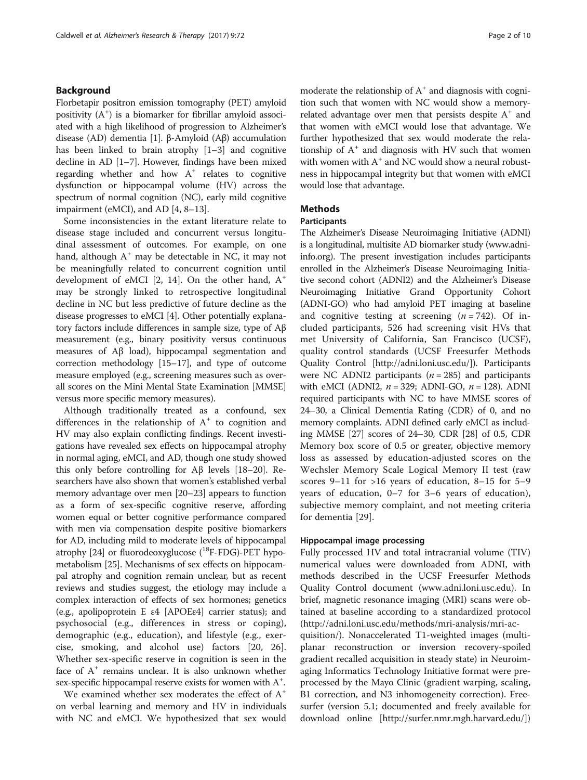# Background

Florbetapir positron emission tomography (PET) amyloid positivity (A<sup>+</sup>) is a biomarker for fibrillar amyloid associated with a high likelihood of progression to Alzheimer's disease (AD) dementia [\[1](#page-8-0)]. β-Amyloid (Aβ) accumulation has been linked to brain atrophy [[1](#page-8-0)–[3](#page-8-0)] and cognitive decline in AD [[1](#page-8-0)–[7](#page-8-0)]. However, findings have been mixed regarding whether and how  $A^+$  relates to cognitive dysfunction or hippocampal volume (HV) across the spectrum of normal cognition (NC), early mild cognitive impairment (eMCI), and AD [\[4](#page-8-0), [8](#page-8-0)–[13\]](#page-8-0).

Some inconsistencies in the extant literature relate to disease stage included and concurrent versus longitudinal assessment of outcomes. For example, on one hand, although  $A^+$  may be detectable in NC, it may not be meaningfully related to concurrent cognition until development of eMCI [\[2](#page-8-0), [14\]](#page-8-0). On the other hand,  $A^+$ may be strongly linked to retrospective longitudinal decline in NC but less predictive of future decline as the disease progresses to eMCI [\[4\]](#page-8-0). Other potentially explanatory factors include differences in sample size, type of Aβ measurement (e.g., binary positivity versus continuous measures of Aβ load), hippocampal segmentation and correction methodology [\[15](#page-8-0)–[17](#page-8-0)], and type of outcome measure employed (e.g., screening measures such as overall scores on the Mini Mental State Examination [MMSE] versus more specific memory measures).

Although traditionally treated as a confound, sex differences in the relationship of  $A^+$  to cognition and HV may also explain conflicting findings. Recent investigations have revealed sex effects on hippocampal atrophy in normal aging, eMCI, and AD, though one study showed this only before controlling for Aβ levels [\[18](#page-8-0)–[20](#page-9-0)]. Researchers have also shown that women's established verbal memory advantage over men [[20](#page-9-0)–[23\]](#page-9-0) appears to function as a form of sex-specific cognitive reserve, affording women equal or better cognitive performance compared with men via compensation despite positive biomarkers for AD, including mild to moderate levels of hippocampal atrophy [[24](#page-9-0)] or fluorodeoxyglucose  $(^{18}F-FDG)$ -PET hypometabolism [\[25\]](#page-9-0). Mechanisms of sex effects on hippocampal atrophy and cognition remain unclear, but as recent reviews and studies suggest, the etiology may include a complex interaction of effects of sex hormones; genetics (e.g., apolipoprotein E ε4 [APOEε4] carrier status); and psychosocial (e.g., differences in stress or coping), demographic (e.g., education), and lifestyle (e.g., exercise, smoking, and alcohol use) factors [[20, 26](#page-9-0)]. Whether sex-specific reserve in cognition is seen in the face of  $A<sup>+</sup>$  remains unclear. It is also unknown whether sex-specific hippocampal reserve exists for women with  $A^+$ .

We examined whether sex moderates the effect of  $A^+$ on verbal learning and memory and HV in individuals with NC and eMCI. We hypothesized that sex would moderate the relationship of  $A<sup>+</sup>$  and diagnosis with cognition such that women with NC would show a memoryrelated advantage over men that persists despite  $A^+$  and that women with eMCI would lose that advantage. We further hypothesized that sex would moderate the relationship of  $A^+$  and diagnosis with HV such that women with women with  $A^+$  and NC would show a neural robustness in hippocampal integrity but that women with eMCI would lose that advantage.

# **Methods**

# **Participants**

The Alzheimer's Disease Neuroimaging Initiative (ADNI) is a longitudinal, multisite AD biomarker study [\(www.adni](http://www.adni-info.org/)[info.org](http://www.adni-info.org/)). The present investigation includes participants enrolled in the Alzheimer's Disease Neuroimaging Initiative second cohort (ADNI2) and the Alzheimer's Disease Neuroimaging Initiative Grand Opportunity Cohort (ADNI-GO) who had amyloid PET imaging at baseline and cognitive testing at screening  $(n = 742)$ . Of included participants, 526 had screening visit HVs that met University of California, San Francisco (UCSF), quality control standards (UCSF Freesurfer Methods Quality Control [\[http://adni.loni.usc.edu/\]](http://adni.loni.usc.edu/)). Participants were NC ADNI2 participants ( $n = 285$ ) and participants with eMCI (ADNI2,  $n = 329$ ; ADNI-GO,  $n = 128$ ). ADNI required participants with NC to have MMSE scores of 24–30, a Clinical Dementia Rating (CDR) of 0, and no memory complaints. ADNI defined early eMCI as including MMSE [[27](#page-9-0)] scores of 24–30, CDR [\[28\]](#page-9-0) of 0.5, CDR Memory box score of 0.5 or greater, objective memory loss as assessed by education-adjusted scores on the Wechsler Memory Scale Logical Memory II test (raw scores 9–11 for >16 years of education, 8–15 for 5–9 years of education, 0–7 for 3–6 years of education), subjective memory complaint, and not meeting criteria for dementia [\[29](#page-9-0)].

## Hippocampal image processing

Fully processed HV and total intracranial volume (TIV) numerical values were downloaded from ADNI, with methods described in the UCSF Freesurfer Methods Quality Control document [\(www.adni.loni.usc.edu\)](http://www.adni.loni.usc.edu/). In brief, magnetic resonance imaging (MRI) scans were obtained at baseline according to a standardized protocol ([http://adni.loni.usc.edu/methods/mri-analysis/mri-ac](http://adni.loni.usc.edu/methods/mri-analysis/mri-acquisition/)[quisition/\)](http://adni.loni.usc.edu/methods/mri-analysis/mri-acquisition/). Nonaccelerated T1-weighted images (multiplanar reconstruction or inversion recovery-spoiled gradient recalled acquisition in steady state) in Neuroimaging Informatics Technology Initiative format were preprocessed by the Mayo Clinic (gradient warping, scaling, B1 correction, and N3 inhomogeneity correction). Freesurfer (version 5.1; documented and freely available for download online [\[http://surfer.nmr.mgh.harvard.edu/](http://surfer.nmr.mgh.harvard.edu/)])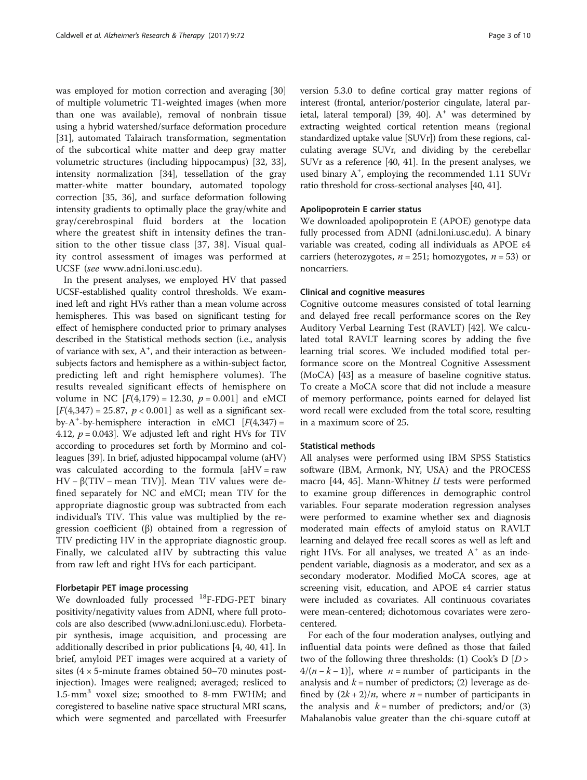was employed for motion correction and averaging [[30](#page-9-0)] of multiple volumetric T1-weighted images (when more than one was available), removal of nonbrain tissue using a hybrid watershed/surface deformation procedure [[31\]](#page-9-0), automated Talairach transformation, segmentation of the subcortical white matter and deep gray matter volumetric structures (including hippocampus) [\[32](#page-9-0), [33](#page-9-0)], intensity normalization [\[34\]](#page-9-0), tessellation of the gray matter-white matter boundary, automated topology correction [[35, 36\]](#page-9-0), and surface deformation following intensity gradients to optimally place the gray/white and gray/cerebrospinal fluid borders at the location where the greatest shift in intensity defines the transition to the other tissue class [\[37](#page-9-0), [38](#page-9-0)]. Visual quality control assessment of images was performed at UCSF (see [www.adni.loni.usc.edu\)](http://www.adni.loni.usc.edu/).

In the present analyses, we employed HV that passed UCSF-established quality control thresholds. We examined left and right HVs rather than a mean volume across hemispheres. This was based on significant testing for effect of hemisphere conducted prior to primary analyses described in the Statistical methods section (i.e., analysis of variance with sex,  $A^+$ , and their interaction as betweensubjects factors and hemisphere as a within-subject factor, predicting left and right hemisphere volumes). The results revealed significant effects of hemisphere on volume in NC  $[F(4,179) = 12.30, p = 0.001]$  and eMCI  $[F(4,347) = 25.87, p < 0.001]$  as well as a significant sexby-A<sup>+</sup>-by-hemisphere interaction in eMCI  $[F(4,347) =$ 4.12,  $p = 0.043$ . We adjusted left and right HVs for TIV according to procedures set forth by Mormino and colleagues [\[39](#page-9-0)]. In brief, adjusted hippocampal volume (aHV) was calculated according to the formula  $[aHV = raw$ HV –  $\beta$ (TIV – mean TIV)]. Mean TIV values were defined separately for NC and eMCI; mean TIV for the appropriate diagnostic group was subtracted from each individual's TIV. This value was multiplied by the regression coefficient (β) obtained from a regression of TIV predicting HV in the appropriate diagnostic group. Finally, we calculated aHV by subtracting this value from raw left and right HVs for each participant.

## Florbetapir PET image processing

We downloaded fully processed <sup>18</sup>F-FDG-PET binary positivity/negativity values from ADNI, where full protocols are also described [\(www.adni.loni.usc.edu](http://www.adni.loni.usc.edu/)). Florbetapir synthesis, image acquisition, and processing are additionally described in prior publications [[4,](#page-8-0) [40, 41\]](#page-9-0). In brief, amyloid PET images were acquired at a variety of sites (4 × 5-minute frames obtained 50–70 minutes postinjection). Images were realigned; averaged; resliced to 1.5-mm<sup>3</sup> voxel size; smoothed to 8-mm FWHM; and coregistered to baseline native space structural MRI scans, which were segmented and parcellated with Freesurfer version 5.3.0 to define cortical gray matter regions of interest (frontal, anterior/posterior cingulate, lateral par-ietal, lateral temporal) [\[39](#page-9-0), [40\]](#page-9-0).  $A^+$  was determined by extracting weighted cortical retention means (regional standardized uptake value [SUVr]) from these regions, calculating average SUVr, and dividing by the cerebellar SUVr as a reference [[40, 41\]](#page-9-0). In the present analyses, we used binary A<sup>+</sup>, employing the recommended 1.11 SUVr ratio threshold for cross-sectional analyses [\[40, 41](#page-9-0)].

# Apolipoprotein E carrier status

We downloaded apolipoprotein E (APOE) genotype data fully processed from ADNI (adni.loni.usc.edu). A binary variable was created, coding all individuals as APOE ε4 carriers (heterozygotes,  $n = 251$ ; homozygotes,  $n = 53$ ) or noncarriers.

#### Clinical and cognitive measures

Cognitive outcome measures consisted of total learning and delayed free recall performance scores on the Rey Auditory Verbal Learning Test (RAVLT) [\[42\]](#page-9-0). We calculated total RAVLT learning scores by adding the five learning trial scores. We included modified total performance score on the Montreal Cognitive Assessment (MoCA) [\[43](#page-9-0)] as a measure of baseline cognitive status. To create a MoCA score that did not include a measure of memory performance, points earned for delayed list word recall were excluded from the total score, resulting in a maximum score of 25.

# Statistical methods

All analyses were performed using IBM SPSS Statistics software (IBM, Armonk, NY, USA) and the PROCESS macro [\[44](#page-9-0), [45](#page-9-0)]. Mann-Whitney U tests were performed to examine group differences in demographic control variables. Four separate moderation regression analyses were performed to examine whether sex and diagnosis moderated main effects of amyloid status on RAVLT learning and delayed free recall scores as well as left and right HVs. For all analyses, we treated  $A^+$  as an independent variable, diagnosis as a moderator, and sex as a secondary moderator. Modified MoCA scores, age at screening visit, education, and APOE ε4 carrier status were included as covariates. All continuous covariates were mean-centered; dichotomous covariates were zerocentered.

For each of the four moderation analyses, outlying and influential data points were defined as those that failed two of the following three thresholds: (1) Cook's  $D[D \rangle$  $4/(n-k-1)$ ], where *n* = number of participants in the analysis and  $k =$  number of predictors; (2) leverage as defined by  $(2k+2)/n$ , where *n* = number of participants in the analysis and  $k =$  number of predictors; and/or (3) Mahalanobis value greater than the chi-square cutoff at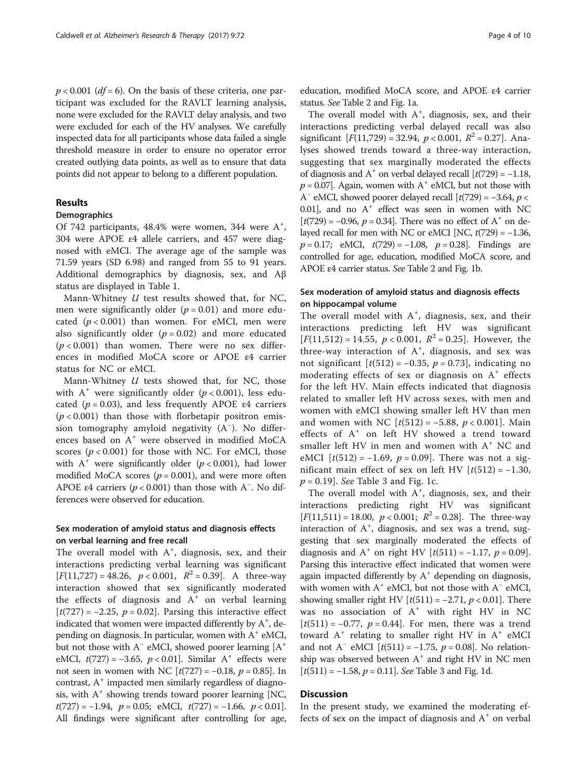$p < 0.001$  (df = 6). On the basis of these criteria, one participant was excluded for the RAVLT learning analysis, none were excluded for the RAVLT delay analysis, and two were excluded for each of the HV analyses. We carefully inspected data for all participants whose data failed a single threshold measure in order to ensure no operator error created outlying data points, as well as to ensure that data points did not appear to belong to a different population.

# Results

# **Demographics**

Of 742 participants, 48.4% were women, 344 were  $A^*$ , 304 were APOE ε4 allele carriers, and 457 were diagnosed with eMCI. The average age of the sample was 71.59 years (SD 6.98) and ranged from 55 to 91 years. Additional demographics by diagnosis, sex, and Aβ status are displayed in Table [1](#page-4-0).

Mann-Whitney  $U$  test results showed that, for NC, men were significantly older ( $p = 0.01$ ) and more educated  $(p < 0.001)$  than women. For eMCI, men were also significantly older  $(p = 0.02)$  and more educated  $(p < 0.001)$  than women. There were no sex differences in modified MoCA score or APOE ε4 carrier status for NC or eMCI.

Mann-Whitney  $U$  tests showed that, for NC, those with  $A^+$  were significantly older ( $p < 0.001$ ), less educated ( $p = 0.03$ ), and less frequently APOE  $\varepsilon$ 4 carriers  $(p < 0.001)$  than those with florbetapir positron emission tomography amyloid negativity (A<sup>−</sup> ). No differences based on A<sup>+</sup> were observed in modified MoCA scores ( $p < 0.001$ ) for those with NC. For eMCI, those with  $A^+$  were significantly older ( $p < 0.001$ ), had lower modified MoCA scores ( $p = 0.001$ ), and were more often APOE  $\varepsilon$ 4 carriers (p < 0.001) than those with A<sup>-</sup>. No differences were observed for education.

# Sex moderation of amyloid status and diagnosis effects on verbal learning and free recall

The overall model with  $A^+$ , diagnosis, sex, and their interactions predicting verbal learning was significant  $[F(11,727) = 48.26, p < 0.001, R^2 = 0.39]$ . A three-way interaction showed that sex significantly moderated the effects of diagnosis and  $A^+$  on verbal learning  $[t(727) = -2.25, p = 0.02]$ . Parsing this interactive effect indicated that women were impacted differently by  $A^+$ , depending on diagnosis. In particular, women with  $A^+$  eMCI, but not those with A<sup> $-$ </sup> eMCI, showed poorer learning [A<sup>+</sup> eMCI,  $t(727) = -3.65$ ,  $p < 0.01$ ]. Similar A<sup>+</sup> effects were not seen in women with NC  $[t(727) = -0.18, p = 0.85]$ . In contrast,  $A^+$  impacted men similarly regardless of diagnosis, with  $A^+$  showing trends toward poorer learning [NC,  $t(727) = -1.94$ ,  $p = 0.05$ ; eMCI,  $t(727) = -1.66$ ,  $p < 0.01$ . All findings were significant after controlling for age, education, modified MoCA score, and APOE ε4 carrier status. See Table [2](#page-5-0) and Fig. [1a](#page-5-0).

The overall model with  $A^+$ , diagnosis, sex, and their interactions predicting verbal delayed recall was also significant  $[F(11,729) = 32.94, p < 0.001, R^2 = 0.27]$ . Analyses showed trends toward a three-way interaction, suggesting that sex marginally moderated the effects of diagnosis and A<sup>+</sup> on verbal delayed recall  $\left[\frac{t(729)}{2} - 1.18\right]$ ,  $p = 0.07$ ]. Again, women with A<sup>+</sup> eMCI, but not those with A<sup> $-$ </sup> eMCI, showed poorer delayed recall  $[t(729) = -3.64, p <$ 0.01], and no  $A^+$  effect was seen in women with NC  $[t(729) = -0.96, p = 0.34]$ . There was no effect of A<sup>+</sup> on delayed recall for men with NC or eMCI [NC,  $t(729) = -1.36$ ,  $p = 0.17$ ; eMCI,  $t(729) = -1.08$ ,  $p = 0.28$ ]. Findings are controlled for age, education, modified MoCA score, and APOE ε4 carrier status. See Table [2](#page-5-0) and Fig. [1b.](#page-5-0)

# Sex moderation of amyloid status and diagnosis effects on hippocampal volume

The overall model with  $A^+$ , diagnosis, sex, and their interactions predicting left HV was significant  $[F(11,512) = 14.55, p < 0.001, R^2 = 0.25]$ . However, the three-way interaction of  $A^+$ , diagnosis, and sex was not significant  $[t(512) = -0.35, p = 0.73]$ , indicating no moderating effects of sex or diagnosis on  $A^+$  effects for the left HV. Main effects indicated that diagnosis related to smaller left HV across sexes, with men and women with eMCI showing smaller left HV than men and women with NC  $[t(512) = -5.88, p < 0.001]$ . Main effects of  $A^+$  on left HV showed a trend toward smaller left HV in men and women with  $A^+$  NC and eMCI  $[t(512) = -1.69, p = 0.09]$ . There was not a significant main effect of sex on left HV  $[t(512) = -1.30]$ ,  $p = 0.19$ . See Table [3](#page-6-0) and Fig. [1c.](#page-5-0)

The overall model with  $A^+$ , diagnosis, sex, and their interactions predicting right HV was significant  $[F(11,511) = 18.00, p < 0.001; R^2 = 0.28]$ . The three-way interaction of A<sup>+</sup>, diagnosis, and sex was a trend, suggesting that sex marginally moderated the effects of diagnosis and A<sup>+</sup> on right HV  $[t(511) = -1.17, p = 0.09]$ . Parsing this interactive effect indicated that women were again impacted differently by  $A^+$  depending on diagnosis, with women with  $A^+$  eMCI, but not those with  $A^-$  eMCI, showing smaller right HV  $[t(511) = -2.71, p < 0.01]$ . There was no association of  $A^+$  with right HV in NC  $[t(511) = -0.77, p = 0.44]$ . For men, there was a trend toward  $A^+$  relating to smaller right HV in  $A^+$  eMCI and not A<sup>-</sup> eMCI  $[t(511) = -1.75, p = 0.08]$ . No relationship was observed between  $A^+$  and right HV in NC men  $[t(511) = -1.58, p = 0.11]$ . See Table [3](#page-6-0) and Fig. [1d.](#page-5-0)

# **Discussion**

In the present study, we examined the moderating effects of sex on the impact of diagnosis and  $A^+$  on verbal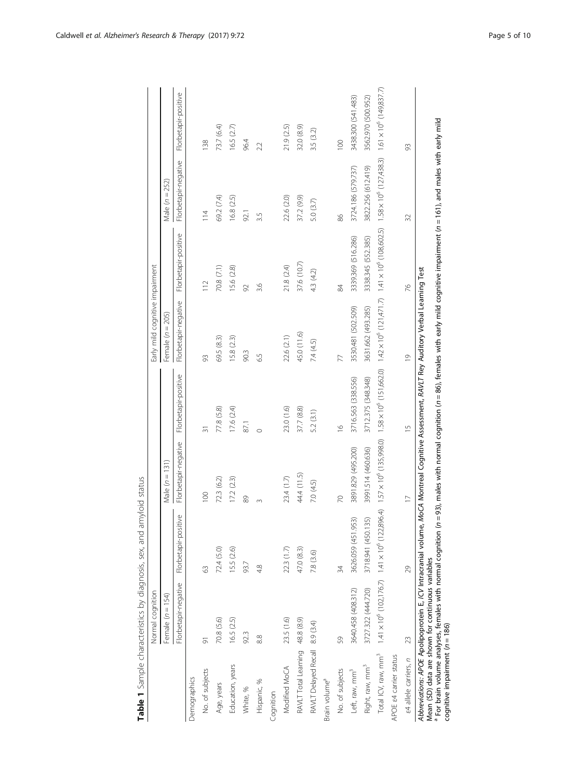<span id="page-4-0"></span>

|                                                                                                                                                                                                                                   | Normal cognition     |                                                                   |                                  |                                                                                                                                                                                                               | Early mild cognitive impairment  |                                  |                                  |                                  |
|-----------------------------------------------------------------------------------------------------------------------------------------------------------------------------------------------------------------------------------|----------------------|-------------------------------------------------------------------|----------------------------------|---------------------------------------------------------------------------------------------------------------------------------------------------------------------------------------------------------------|----------------------------------|----------------------------------|----------------------------------|----------------------------------|
|                                                                                                                                                                                                                                   | Female $(n = 154)$   |                                                                   | Male $(n = 131)$                 |                                                                                                                                                                                                               | Female $(n = 205)$               |                                  | Male $(n = 252)$                 |                                  |
|                                                                                                                                                                                                                                   | Florbetapir-negative | Florbetapir-positive                                              | Florbetapir-negative             | Florbetapir-positive                                                                                                                                                                                          | Florbetapir-negative             | Florbetapir-positive             | Florbetapir-negative             | Florbetapir-positive             |
| Demographics                                                                                                                                                                                                                      |                      |                                                                   |                                  |                                                                                                                                                                                                               |                                  |                                  |                                  |                                  |
| No. of subjects                                                                                                                                                                                                                   | $\overline{5}$       | 63                                                                | 100                              | $\overline{3}$                                                                                                                                                                                                | $\Im$                            | 112                              | $\frac{14}{1}$                   | 138                              |
| Age, years                                                                                                                                                                                                                        | 70.8 (5.6)           | 72.4(5.0)                                                         | 72.3 (6.2)                       | 77.8 (5.8)                                                                                                                                                                                                    | 69.5 (8.3)                       | 70.8 (7.1)                       | 69.2 (7.4)                       | 73.7 (6.4)                       |
| Education, years                                                                                                                                                                                                                  | 16.5 (2.5)           | 15.5 (2.6)                                                        | 17.2(2.3)                        | 17.6(2.4)                                                                                                                                                                                                     | 15.8(2.3)                        | 15.6 (2.8)                       | 16.8 (2.5)                       | 16.5 (2.7)                       |
| White, %                                                                                                                                                                                                                          | 92.3                 | 93.7                                                              | 89                               | 87.1                                                                                                                                                                                                          | 90.3                             | 92                               | 92.1                             | 96.4                             |
| Hispanic, %                                                                                                                                                                                                                       | $\frac{8}{8}$        | 4.8                                                               | $\sim$                           | $\circ$                                                                                                                                                                                                       | 6.5                              | 3.6                              | 35                               | 2.2                              |
| Cognition                                                                                                                                                                                                                         |                      |                                                                   |                                  |                                                                                                                                                                                                               |                                  |                                  |                                  |                                  |
| Modified MoCA                                                                                                                                                                                                                     | 23.5 (1.6)           | 22.3 (1.7)                                                        | 23.4 (1.7)                       | 23.0 (1.6)                                                                                                                                                                                                    | 22.6 (2.1)                       | 21.8 (2.4)                       | 22.6 (2.0)                       | 21.9 (2.5)                       |
| RAVLT Total Learning 48.8 (8.9)                                                                                                                                                                                                   |                      | 47.0 (8.3)                                                        | 44.4 (11.5)                      | 37.7 (8.8)                                                                                                                                                                                                    | 45.0 (11.6)                      | 37.6 (10.7)                      | 37.2 (9.9)                       | 32.0 (8.9)                       |
| RAVLT Delayed Recall 8.9 (3.4)                                                                                                                                                                                                    |                      | 7.8 (3.6)                                                         | 7.0 (4.5)                        | 5.2 (3.1)                                                                                                                                                                                                     | 7.4 (4.5)                        | 4.3 (4.2)                        | 5.0 (3.7)                        | 3.5 (3.2)                        |
| Brain volume <sup>a</sup>                                                                                                                                                                                                         |                      |                                                                   |                                  |                                                                                                                                                                                                               |                                  |                                  |                                  |                                  |
| No. of subjects                                                                                                                                                                                                                   | 59                   | 34                                                                | R                                | $\frac{8}{1}$                                                                                                                                                                                                 | 77                               | 84                               | 86                               | $\approx$                        |
| Left, raw, mm <sup>3</sup>                                                                                                                                                                                                        | 3640.458 (408.312)   | 3626.059 (451.953)                                                | 3891.829 (495.200)               | 3716.563 (338.556)                                                                                                                                                                                            | 3530.481 (502.509)               | 3339.369 (516.286)               | 3724.186 (579.737)               | 3438.300 (541.483)               |
| Right, raw, mm <sup>3</sup>                                                                                                                                                                                                       | 3727.322 (444.720)   | 3718.941 (450.135)                                                | 3991.514 (460.636)               | 3712.375 (348.348)                                                                                                                                                                                            | 3631.662 (493.285)               | 3338.345 (552.385)               | 3822.256 (612.419)               | 3562.970 (500.952)               |
| Total ICV, raw, mm <sup>3</sup>                                                                                                                                                                                                   |                      | $1.41 \times 10^{6}$ (102,176.7) $1.41 \times 10^{6}$ (122,896.4) | $1.57 \times 10^{6}$ (135,998.0) | 1.58 × 10 <sup>6</sup> (151,662.0)                                                                                                                                                                            | $1.42 \times 10^{6} (121.471.7)$ | $1.41 \times 10^{6}$ (108,602.5) | $1.58 \times 10^{6}$ (127,438.3) | $1.61 \times 10^{6}$ (149,837.7) |
| APOE $\epsilon$ 4 carrier status                                                                                                                                                                                                  |                      |                                                                   |                                  |                                                                                                                                                                                                               |                                  |                                  |                                  |                                  |
| e4 allele carriers, n                                                                                                                                                                                                             | 23                   | 29                                                                | $\overline{1}$                   | $\frac{5}{1}$                                                                                                                                                                                                 | $\overline{0}$                   | 76                               | 32                               | 33                               |
| Abbreviations: APOE Apolipoprotein E, ICV Intracranial volume,<br><sup>a</sup> For brain volume analyses, females with normal cognition (n<br>Mean (SD) data are shown for continuous variables<br>cognitive impairment (n = 186) |                      |                                                                   |                                  | = 93), males with normal cognition (n = 86), females with early mild cognitive impairment (n = 161), and males with early mild<br>MoCA Montreal Cognitive Assessment, RAVLT Rey Auditory Verbal Learning Test |                                  |                                  |                                  |                                  |

Table 1 Sample characteristics by diagnosis, sex, and amyloid status Table 1 Sample characteristics by diagnosis, sex, and amyloid status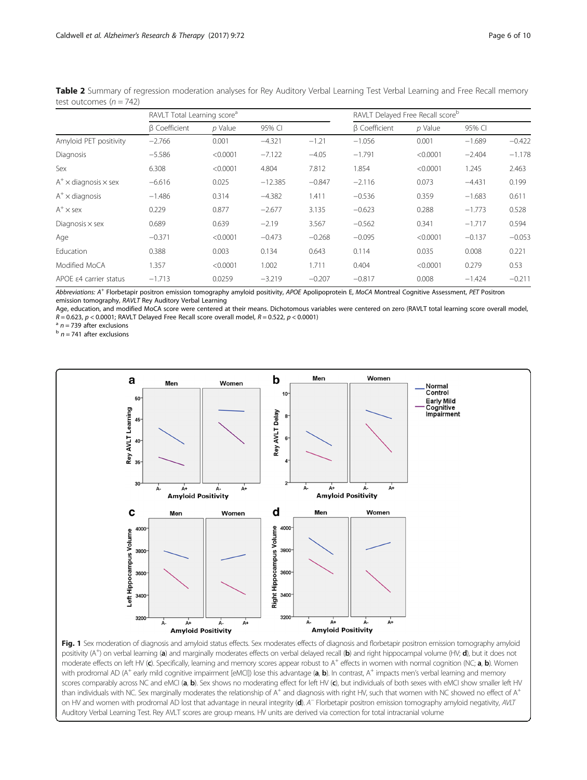|                                               | RAVLT Total Learning score <sup>a</sup> |           |           |          | RAVLT Delayed Free Recall score <sup>b</sup> |          |          |          |  |
|-----------------------------------------------|-----------------------------------------|-----------|-----------|----------|----------------------------------------------|----------|----------|----------|--|
|                                               | <b>B</b> Coefficient                    | $p$ Value | 95% CI    |          | <b>B</b> Coefficient                         | p Value  | 95% CI   |          |  |
| Amyloid PET positivity                        | $-2.766$                                | 0.001     | $-4.321$  | $-1.21$  | $-1.056$                                     | 0.001    | $-1.689$ | $-0.422$ |  |
| <b>Diagnosis</b>                              | $-5.586$                                | < 0.0001  | $-7.122$  | $-4.05$  | $-1.791$                                     | < 0.0001 | $-2.404$ | $-1.178$ |  |
| Sex                                           | 6.308                                   | < 0.0001  | 4.804     | 7.812    | 1.854                                        | < 0.0001 | 1.245    | 2.463    |  |
| $\mathsf{A}^{+}\times$ diagnosis $\times$ sex | $-6.616$                                | 0.025     | $-12.385$ | $-0.847$ | $-2.116$                                     | 0.073    | $-4.431$ | 0.199    |  |
| $\mathsf{A}^{+}\times$ diagnosis              | $-1.486$                                | 0.314     | $-4.382$  | 1.411    | $-0.536$                                     | 0.359    | $-1.683$ | 0.611    |  |
| A <sup>+</sup> $\times$ sex                   | 0.229                                   | 0.877     | $-2.677$  | 3.135    | $-0.623$                                     | 0.288    | $-1.773$ | 0.528    |  |
| Diagnosis $\times$ sex                        | 0.689                                   | 0.639     | $-2.19$   | 3.567    | $-0.562$                                     | 0.341    | $-1.717$ | 0.594    |  |

<span id="page-5-0"></span>Table 2 Summary of regression moderation analyses for Rey Auditory Verbal Learning Test Verbal Learning and Free Recall memory test out

Abbreviations: A<sup>+</sup> Florbetapir positron emission tomography amyloid positivity, APOE Apolipoprotein E, MoCA Montreal Cognitive Assessment, PET Positron emission tomography, RAVLT Rey Auditory Verbal Learning

Age −0.371 <0.0001 −0.473 −0.268 −0.095 <0.0001 −0.137 −0.053 Education 0.388 0.003 0.134 0.643 0.114 0.035 0.008 0.221 Modified MoCA 1.357 <0.0001 1.002 1.711 0.404 <0.0001 0.279 0.53 APOE ε4 carrier status −1.713 0.0259 −3.219 −0.207 −0.817 0.008 −1.424 −0.211

Age, education, and modified MoCA score were centered at their means. Dichotomous variables were centered on zero (RAVLT total learning score overall model,  $R = 0.623$ ,  $p < 0.0001$ ; RAVLT Delayed Free Recall score overall model,  $R = 0.522$ ,  $p < 0.0001$ ) <br><sup>a</sup>  $n = 739$  after exclusions b  $n = 741$  after exclusions



Fig. 1 Sex moderation of diagnosis and amyloid status effects. Sex moderates effects of diagnosis and florbetapir positron emission tomography amyloid positivity (A<sup>+</sup>) on verbal learning (a) and marginally moderates effects on verbal delayed recall (b) and right hippocampal volume (HV; d), but it does not moderate effects on left HV (c). Specifically, learning and memory scores appear robust to A<sup>+</sup> effects in women with normal cognition (NC; a, b). Women with prodromal AD (A<sup>+</sup> early mild cognitive impairment [eMCI]) lose this advantage (a, b). In contrast, A<sup>+</sup> impacts men's verbal learning and memory scores comparably across NC and eMCI (a, b). Sex shows no moderating effect for left HV (c), but individuals of both sexes with eMCI show smaller left HV than individuals with NC. Sex marginally moderates the relationship of  $A^+$  and diagnosis with right HV, such that women with NC showed no effect of  $A^+$ on HV and women with prodromal AD lost that advantage in neural integrity (d). A<sup>−</sup> Florbetapir positron emission tomography amyloid negativity, AVLT Auditory Verbal Learning Test. Rey AVLT scores are group means. HV units are derived via correction for total intracranial volume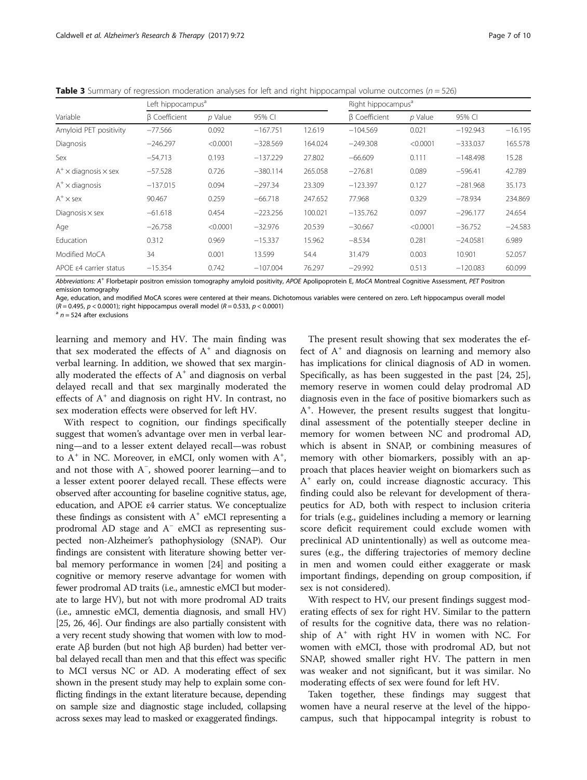<span id="page-6-0"></span>**Table 3** Summary of regression moderation analyses for left and right hippocampal volume outcomes ( $n = 526$ )

|                                     | Left hippocampus <sup>a</sup> |           |            | Right hippocampus <sup>d</sup> |               |           |            |           |
|-------------------------------------|-------------------------------|-----------|------------|--------------------------------|---------------|-----------|------------|-----------|
| Variable                            | <b>B</b> Coefficient          | $p$ Value | 95% CI     |                                | β Coefficient | $p$ Value | 95% CI     |           |
| Amyloid PET positivity              | $-77.566$                     | 0.092     | $-167.751$ | 12.619                         | $-104.569$    | 0.021     | $-192.943$ | $-16.195$ |
| Diagnosis                           | $-246.297$                    | < 0.0001  | $-328.569$ | 164.024                        | $-249.308$    | < 0.0001  | $-333.037$ | 165.578   |
| Sex                                 | $-54.713$                     | 0.193     | $-137.229$ | 27.802                         | $-66,609$     | 0.111     | $-148.498$ | 15.28     |
| $A^+ \times$ diagnosis $\times$ sex | $-57.528$                     | 0.726     | $-380.114$ | 265.058                        | $-276.81$     | 0.089     | $-596.41$  | 42.789    |
| $A^+ \times$ diagnosis              | $-137.015$                    | 0.094     | $-297.34$  | 23.309                         | $-123.397$    | 0.127     | $-281.968$ | 35.173    |
| $A^+ \times$ sex                    | 90.467                        | 0.259     | $-66,718$  | 247.652                        | 77.968        | 0.329     | $-78.934$  | 234.869   |
| Diagnosis $\times$ sex              | $-61.618$                     | 0.454     | $-223.256$ | 100.021                        | $-135.762$    | 0.097     | $-296.177$ | 24.654    |
| Age                                 | $-26.758$                     | < 0.0001  | $-32.976$  | 20.539                         | $-30.667$     | < 0.0001  | $-36.752$  | $-24.583$ |
| Education                           | 0.312                         | 0.969     | $-15.337$  | 15.962                         | $-8.534$      | 0.281     | $-24.0581$ | 6.989     |
| Modified MoCA                       | 34                            | 0.001     | 13.599     | 54.4                           | 31.479        | 0.003     | 10.901     | 52.057    |
| APOE ε4 carrier status              | $-15.354$                     | 0.742     | $-107.004$ | 76.297                         | $-29.992$     | 0.513     | $-120.083$ | 60.099    |

Abbreviations:  $A^+$  Florbetapir positron emission tomography amyloid positivity, APOE Apolipoprotein E, MoCA Montreal Cognitive Assessment, PET Positron emission tomography

Age, education, and modified MoCA scores were centered at their means. Dichotomous variables were centered on zero. Left hippocampus overall model  $(R = 0.495, p < 0.0001)$ ; right hippocampus overall model  $(R = 0.533, p < 0.0001)$ <br><sup>a</sup> n = 524 after exclusions

learning and memory and HV. The main finding was that sex moderated the effects of  $A^+$  and diagnosis on verbal learning. In addition, we showed that sex marginally moderated the effects of  $A<sup>+</sup>$  and diagnosis on verbal delayed recall and that sex marginally moderated the effects of  $A<sup>+</sup>$  and diagnosis on right HV. In contrast, no sex moderation effects were observed for left HV.

With respect to cognition, our findings specifically suggest that women's advantage over men in verbal learning—and to a lesser extent delayed recall—was robust to  $A^+$  in NC. Moreover, in eMCI, only women with  $A^+$ , and not those with A<sup>−</sup> , showed poorer learning—and to a lesser extent poorer delayed recall. These effects were observed after accounting for baseline cognitive status, age, education, and APOE ε4 carrier status. We conceptualize these findings as consistent with  $A^+$  eMCI representing a prodromal AD stage and A<sup>−</sup> eMCI as representing suspected non-Alzheimer's pathophysiology (SNAP). Our findings are consistent with literature showing better verbal memory performance in women [\[24\]](#page-9-0) and positing a cognitive or memory reserve advantage for women with fewer prodromal AD traits (i.e., amnestic eMCI but moderate to large HV), but not with more prodromal AD traits (i.e., amnestic eMCI, dementia diagnosis, and small HV) [[25](#page-9-0), [26](#page-9-0), [46\]](#page-9-0). Our findings are also partially consistent with a very recent study showing that women with low to moderate Aβ burden (but not high Aβ burden) had better verbal delayed recall than men and that this effect was specific to MCI versus NC or AD. A moderating effect of sex shown in the present study may help to explain some conflicting findings in the extant literature because, depending on sample size and diagnostic stage included, collapsing across sexes may lead to masked or exaggerated findings.

The present result showing that sex moderates the effect of  $A^+$  and diagnosis on learning and memory also has implications for clinical diagnosis of AD in women. Specifically, as has been suggested in the past [\[24](#page-9-0), [25](#page-9-0)], memory reserve in women could delay prodromal AD diagnosis even in the face of positive biomarkers such as A+ . However, the present results suggest that longitudinal assessment of the potentially steeper decline in memory for women between NC and prodromal AD, which is absent in SNAP, or combining measures of memory with other biomarkers, possibly with an approach that places heavier weight on biomarkers such as  $A^+$  early on, could increase diagnostic accuracy. This finding could also be relevant for development of therapeutics for AD, both with respect to inclusion criteria for trials (e.g., guidelines including a memory or learning score deficit requirement could exclude women with preclinical AD unintentionally) as well as outcome measures (e.g., the differing trajectories of memory decline in men and women could either exaggerate or mask important findings, depending on group composition, if sex is not considered).

With respect to HV, our present findings suggest moderating effects of sex for right HV. Similar to the pattern of results for the cognitive data, there was no relationship of  $A^+$  with right HV in women with NC. For women with eMCI, those with prodromal AD, but not SNAP, showed smaller right HV. The pattern in men was weaker and not significant, but it was similar. No moderating effects of sex were found for left HV.

Taken together, these findings may suggest that women have a neural reserve at the level of the hippocampus, such that hippocampal integrity is robust to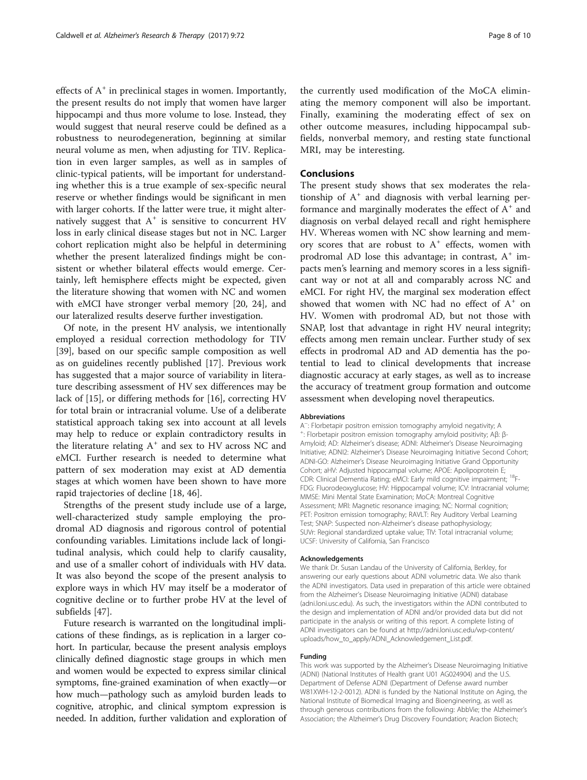effects of  $A^+$  in preclinical stages in women. Importantly, the present results do not imply that women have larger hippocampi and thus more volume to lose. Instead, they would suggest that neural reserve could be defined as a robustness to neurodegeneration, beginning at similar neural volume as men, when adjusting for TIV. Replication in even larger samples, as well as in samples of clinic-typical patients, will be important for understanding whether this is a true example of sex-specific neural reserve or whether findings would be significant in men with larger cohorts. If the latter were true, it might alternatively suggest that  $A^+$  is sensitive to concurrent HV loss in early clinical disease stages but not in NC. Larger cohort replication might also be helpful in determining whether the present lateralized findings might be consistent or whether bilateral effects would emerge. Certainly, left hemisphere effects might be expected, given the literature showing that women with NC and women with eMCI have stronger verbal memory [\[20](#page-9-0), [24\]](#page-9-0), and our lateralized results deserve further investigation.

Of note, in the present HV analysis, we intentionally employed a residual correction methodology for TIV [[39\]](#page-9-0), based on our specific sample composition as well as on guidelines recently published [[17\]](#page-8-0). Previous work has suggested that a major source of variability in literature describing assessment of HV sex differences may be lack of [\[15\]](#page-8-0), or differing methods for [\[16](#page-8-0)], correcting HV for total brain or intracranial volume. Use of a deliberate statistical approach taking sex into account at all levels may help to reduce or explain contradictory results in the literature relating  $A^+$  and sex to HV across NC and eMCI. Further research is needed to determine what pattern of sex moderation may exist at AD dementia stages at which women have been shown to have more rapid trajectories of decline [[18,](#page-8-0) [46\]](#page-9-0).

Strengths of the present study include use of a large, well-characterized study sample employing the prodromal AD diagnosis and rigorous control of potential confounding variables. Limitations include lack of longitudinal analysis, which could help to clarify causality, and use of a smaller cohort of individuals with HV data. It was also beyond the scope of the present analysis to explore ways in which HV may itself be a moderator of cognitive decline or to further probe HV at the level of subfields [\[47](#page-9-0)].

Future research is warranted on the longitudinal implications of these findings, as is replication in a larger cohort. In particular, because the present analysis employs clinically defined diagnostic stage groups in which men and women would be expected to express similar clinical symptoms, fine-grained examination of when exactly—or how much—pathology such as amyloid burden leads to cognitive, atrophic, and clinical symptom expression is needed. In addition, further validation and exploration of

the currently used modification of the MoCA eliminating the memory component will also be important. Finally, examining the moderating effect of sex on other outcome measures, including hippocampal subfields, nonverbal memory, and resting state functional MRI, may be interesting.

# Conclusions

The present study shows that sex moderates the relationship of  $A^+$  and diagnosis with verbal learning performance and marginally moderates the effect of  $A^+$  and diagnosis on verbal delayed recall and right hemisphere HV. Whereas women with NC show learning and memory scores that are robust to  $A^+$  effects, women with prodromal AD lose this advantage; in contrast,  $A^+$  impacts men's learning and memory scores in a less significant way or not at all and comparably across NC and eMCI. For right HV, the marginal sex moderation effect showed that women with NC had no effect of  $A^+$  on HV. Women with prodromal AD, but not those with SNAP, lost that advantage in right HV neural integrity; effects among men remain unclear. Further study of sex effects in prodromal AD and AD dementia has the potential to lead to clinical developments that increase diagnostic accuracy at early stages, as well as to increase the accuracy of treatment group formation and outcome assessment when developing novel therapeutics.

#### Abbreviations

A<sup>-</sup>: Florbetapir positron emission tomography amyloid negativity; A →<br><sup>+</sup>: Florbetapir positron omission tomography amyloid positivity; A <u>A</u> : Florbetapir positron emission tomography amyloid positivity; Aβ: β-Amyloid; AD: Alzheimer's disease; ADNI: Alzheimer's Disease Neuroimaging Initiative; ADNI2: Alzheimer's Disease Neuroimaging Initiative Second Cohort; ADNI-GO: Alzheimer's Disease Neuroimaging Initiative Grand Opportunity Cohort; aHV: Adjusted hippocampal volume; APOE: Apolipoprotein E; CDR: Clinical Dementia Rating; eMCI: Early mild cognitive impairment; 18F-FDG: Fluorodeoxyglucose; HV: Hippocampal volume; ICV: Intracranial volume; MMSE: Mini Mental State Examination; MoCA: Montreal Cognitive Assessment; MRI: Magnetic resonance imaging; NC: Normal cognition; PET: Positron emission tomography; RAVLT: Rey Auditory Verbal Learning Test; SNAP: Suspected non-Alzheimer's disease pathophysiology; SUVr: Regional standardized uptake value; TIV: Total intracranial volume; UCSF: University of California, San Francisco

#### Acknowledgements

We thank Dr. Susan Landau of the University of California, Berkley, for answering our early questions about ADNI volumetric data. We also thank the ADNI investigators. Data used in preparation of this article were obtained from the Alzheimer's Disease Neuroimaging Initiative (ADNI) database (adni.loni.usc.edu). As such, the investigators within the ADNI contributed to the design and implementation of ADNI and/or provided data but did not participate in the analysis or writing of this report. A complete listing of ADNI investigators can be found at [http://adni.loni.usc.edu/wp-content/](http://adni.loni.usc.edu/wp-content/uploads/how_to_apply/ADNI_Acknowledgement_List.pdf) [uploads/how\\_to\\_apply/ADNI\\_Acknowledgement\\_List.pdf](http://adni.loni.usc.edu/wp-content/uploads/how_to_apply/ADNI_Acknowledgement_List.pdf).

#### Funding

This work was supported by the Alzheimer's Disease Neuroimaging Initiative (ADNI) (National Institutes of Health grant U01 AG024904) and the U.S. Department of Defense ADNI (Department of Defense award number W81XWH-12-2-0012). ADNI is funded by the National Institute on Aging, the National Institute of Biomedical Imaging and Bioengineering, as well as through generous contributions from the following: AbbVie; the Alzheimer's Association; the Alzheimer's Drug Discovery Foundation; Araclon Biotech;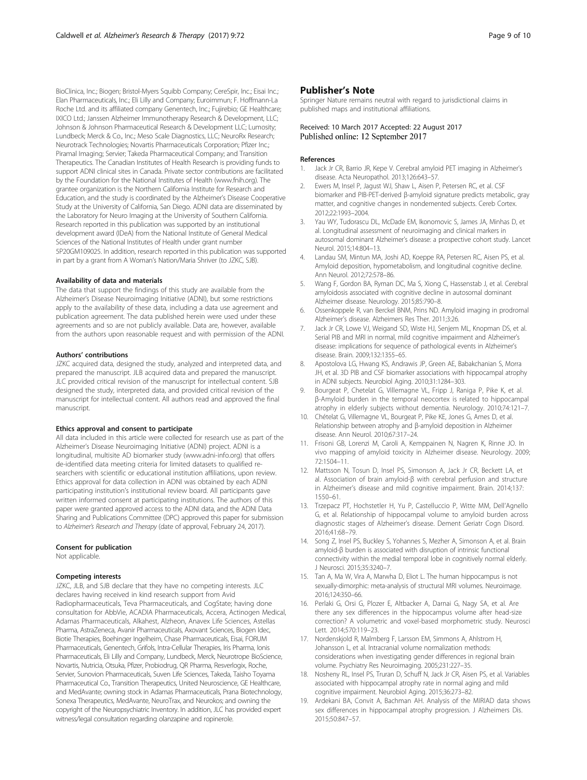<span id="page-8-0"></span>BioClinica, Inc.; Biogen; Bristol-Myers Squibb Company; CereSpir, Inc.; Eisai Inc.; Elan Pharmaceuticals, Inc.; Eli Lilly and Company; Euroimmun; F. Hoffmann-La Roche Ltd. and its affiliated company Genentech, Inc.; Fujirebio; GE Healthcare; IXICO Ltd.; Janssen Alzheimer Immunotherapy Research & Development, LLC; Johnson & Johnson Pharmaceutical Research & Development LLC; Lumosity; Lundbeck; Merck & Co., Inc.; Meso Scale Diagnostics, LLC; NeuroRx Research; Neurotrack Technologies; Novartis Pharmaceuticals Corporation; Pfizer Inc.; Piramal Imaging; Servier; Takeda Pharmaceutical Company; and Transition Therapeutics. The Canadian Institutes of Health Research is providing funds to support ADNI clinical sites in Canada. Private sector contributions are facilitated by the Foundation for the National Institutes of Health [\(www.fnih.org\)](http://www.fnih.org/). The grantee organization is the Northern California Institute for Research and Education, and the study is coordinated by the Alzheimer's Disease Cooperative Study at the University of California, San Diego. ADNI data are disseminated by the Laboratory for Neuro Imaging at the University of Southern California. Research reported in this publication was supported by an institutional development award (IDeA) from the National Institute of General Medical Sciences of the National Institutes of Health under grant number 5P20GM109025. In addition, research reported in this publication was supported in part by a grant from A Woman's Nation/Maria Shriver (to JZKC, SJB).

#### Availability of data and materials

The data that support the findings of this study are available from the Alzheimer's Disease Neuroimaging Initiative (ADNI), but some restrictions apply to the availability of these data, including a data use agreement and publication agreement. The data published herein were used under these agreements and so are not publicly available. Data are, however, available from the authors upon reasonable request and with permission of the ADNI.

#### Authors' contributions

JZKC acquired data, designed the study, analyzed and interpreted data, and prepared the manuscript. JLB acquired data and prepared the manuscript. JLC provided critical revision of the manuscript for intellectual content. SJB designed the study, interpreted data, and provided critical revision of the manuscript for intellectual content. All authors read and approved the final manuscript.

#### Ethics approval and consent to participate

All data included in this article were collected for research use as part of the Alzheimer's Disease Neuroimaging Initiative (ADNI) project. ADNI is a longitudinal, multisite AD biomarker study [\(www.adni-info.org\)](http://www.adni-info.org/) that offers de-identified data meeting criteria for limited datasets to qualified researchers with scientific or educational institution affiliations, upon review. Ethics approval for data collection in ADNI was obtained by each ADNI participating institution's institutional review board. All participants gave written informed consent at participating institutions. The authors of this paper were granted approved access to the ADNI data, and the ADNI Data Sharing and Publications Committee (DPC) approved this paper for submission to Alzheimer's Research and Therapy (date of approval, February 24, 2017).

#### Consent for publication

Not applicable.

#### Competing interests

JZKC, JLB, and SJB declare that they have no competing interests. JLC declares having received in kind research support from Avid Radiopharmaceuticals, Teva Pharmaceuticals, and CogState; having done consultation for AbbVie, ACADIA Pharmaceuticals, Accera, Actinogen Medical, Adamas Pharmaceuticals, Alkahest, Alzheon, Anavex Life Sciences, Astellas Pharma, AstraZeneca, Avanir Pharmaceuticals, Axovant Sciences, Biogen Idec, Biotie Therapies, Boehinger Ingelheim, Chase Pharmaceuticals, Eisai, FORUM Pharmaceuticals, Genentech, Grifols, Intra-Cellular Therapies, Iris Pharma, Ionis Pharmaceuticals, Eli Lilly and Company, Lundbeck, Merck, Neurotrope BioScience, Novartis, Nutricia, Otsuka, Pfizer, Probiodrug, QR Pharma, Resverlogix, Roche, Servier, Sunovion Pharmaceuticals, Suven Life Sciences, Takeda, Taisho Toyama Pharmaceutical Co., Transition Therapeutics, United Neuroscience, GE Healthcare, and MedAvante; owning stock in Adamas Pharmaceuticals, Prana Biotechnology, Sonexa Therapeutics, MedAvante, NeuroTrax, and Neurokos; and owning the copyright of the Neuropsychiatric Inventory. In addition, JLC has provided expert witness/legal consultation regarding olanzapine and ropinerole.

# Publisher's Note

Springer Nature remains neutral with regard to jurisdictional claims in published maps and institutional affiliations.

## Received: 10 March 2017 Accepted: 22 August 2017 Published online: 12 September 2017

#### References

- 1. Jack Jr CR, Barrio JR, Kepe V. Cerebral amyloid PET imaging in Alzheimer's disease. Acta Neuropathol. 2013;126:643–57.
- Ewers M, Insel P, Jagust WJ, Shaw L, Aisen P, Petersen RC, et al. CSF biomarker and PIB-PET-derived β-amyloid signature predicts metabolic, gray matter, and cognitive changes in nondemented subjects. Cereb Cortex. 2012;22:1993–2004.
- 3. Yau WY, Tudorascu DL, McDade EM, Ikonomovic S, James JA, Minhas D, et al. Longitudinal assessment of neuroimaging and clinical markers in autosomal dominant Alzheimer's disease: a prospective cohort study. Lancet Neurol. 2015;14:804–13.
- 4. Landau SM, Mintun MA, Joshi AD, Koeppe RA, Petersen RC, Aisen PS, et al. Amyloid deposition, hypometabolism, and longitudinal cognitive decline. Ann Neurol. 2012;72:578–86.
- 5. Wang F, Gordon BA, Ryman DC, Ma S, Xiong C, Hassenstab J, et al. Cerebral amyloidosis associated with cognitive decline in autosomal dominant Alzheimer disease. Neurology. 2015;85:790–8.
- 6. Ossenkoppele R, van Berckel BNM, Prins ND. Amyloid imaging in prodromal Alzheimer's disease. Alzheimers Res Ther. 2011;3:26.
- 7. Jack Jr CR, Lowe VJ, Weigand SD, Wiste HJ, Senjem ML, Knopman DS, et al. Serial PIB and MRI in normal, mild cognitive impairment and Alzheimer's disease: implications for sequence of pathological events in Alzheimer's disease. Brain. 2009;132:1355–65.
- 8. Apostolova LG, Hwang KS, Andrawis JP, Green AE, Babakchanian S, Morra JH, et al. 3D PIB and CSF biomarker associations with hippocampal atrophy in ADNI subjects. Neurobiol Aging. 2010;31:1284–303.
- 9. Bourgeat P, Chetelat G, Villemagne VL, Fripp J, Raniga P, Pike K, et al. β-Amyloid burden in the temporal neocortex is related to hippocampal atrophy in elderly subjects without dementia. Neurology. 2010;74:121–7.
- 10. Chételat G, Villemagne VL, Bourgeat P, Pike KE, Jones G, Ames D, et al. Relationship between atrophy and β-amyloid deposition in Alzheimer disease. Ann Neurol. 2010;67:317–24.
- 11. Frisoni GB, Lorenzi M, Caroli A, Kemppainen N, Nagren K, Rinne JO. In vivo mapping of amyloid toxicity in Alzheimer disease. Neurology. 2009; 72:1504–11.
- 12. Mattsson N, Tosun D, Insel PS, Simonson A, Jack Jr CR, Beckett LA, et al. Association of brain amyloid-β with cerebral perfusion and structure in Alzheimer's disease and mild cognitive impairment. Brain. 2014;137: 1550–61.
- 13. Trzepacz PT, Hochstetler H, Yu P, Castelluccio P, Witte MM, Dell'Agnello G, et al. Relationship of hippocampal volume to amyloid burden across diagnostic stages of Alzheimer's disease. Dement Geriatr Cogn Disord. 2016;41:68–79.
- 14. Song Z, Insel PS, Buckley S, Yohannes S, Mezher A, Simonson A, et al. Brain amyloid-β burden is associated with disruption of intrinsic functional connectivity within the medial temporal lobe in cognitively normal elderly. J Neurosci. 2015;35:3240–7.
- 15. Tan A, Ma W, Vira A, Marwha D, Eliot L. The human hippocampus is not sexually-dimorphic: meta-analysis of structural MRI volumes. Neuroimage. 2016;124:350–66.
- 16. Perlaki G, Orsi G, Plozer E, Altbacker A, Darnai G, Nagy SA, et al. Are there any sex differences in the hippocampus volume after head-size correction? A volumetric and voxel-based morphometric study. Neurosci Lett. 2014;570:119–23.
- 17. Nordenskjold R, Malmberg F, Larsson EM, Simmons A, Ahlstrom H, Johansson L, et al. Intracranial volume normalization methods: considerations when investigating gender differences in regional brain volume. Psychiatry Res Neuroimaging. 2005;231:227–35.
- 18. Nosheny RL, Insel PS, Truran D, Schuff N, Jack Jr CR, Aisen PS, et al. Variables associated with hippocampal atrophy rate in normal aging and mild cognitive impairment. Neurobiol Aging. 2015;36:273–82.
- 19. Ardekani BA, Convit A, Bachman AH. Analysis of the MIRIAD data shows sex differences in hippocampal atrophy progression. J Alzheimers Dis. 2015;50:847–57.